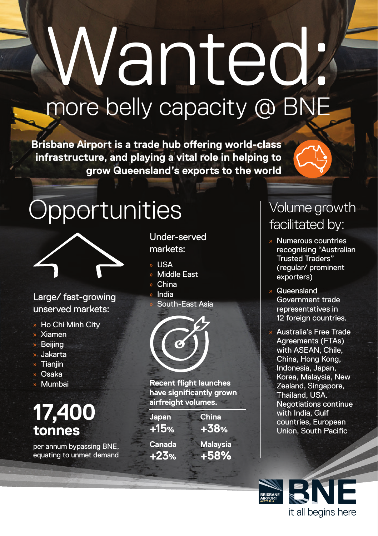# Wanted: more belly capacity @ BNE

**Brisbane Airport is a trade hub offering world‑class infrastructure, and playing a vital role in helping to grow Queensland's exports to the world**



## **Opportunities**



Large/ fast-growing unserved markets:

- » Ho Chi Minh City
- » Xiamen
- » Beijing
- » Jakarta
- » Tianjin
- » Osaka
- » Mumbai

## **17,400 tonnes**

per annum bypassing BNE, equating to unmet demand Under-served markets:

- » USA
- » Middle East
- » China
- » India
- South-East Asia



**Recent flight launches have significantly grown airfreight volumes.** 

**Japan +15% Canada +23% China**

**+38% Malaysia +58%**

#### Volume growth facilitated by:

- » Numerous countries recognising "Australian Trusted Traders" (regular/ prominent exporters)
- » Queensland Government trade representatives in 12 foreign countries.
- » Australia's Free Trade Agreements (FTAs) with ASEAN, Chile, China, Hong Kong, Indonesia, Japan, Korea, Malaysia, New Zealand, Singapore, Thailand, USA. Negotiations continue with India, Gulf countries, European Union, South Pacific

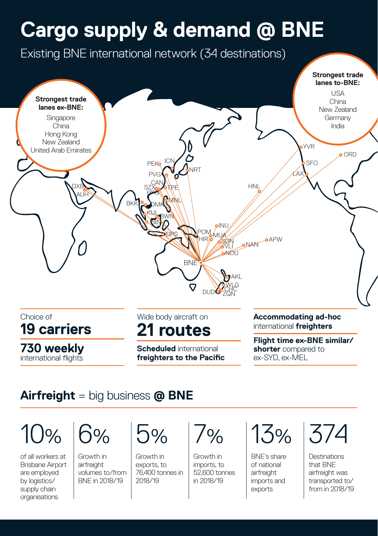## **Cargo supply & demand @ BNE**



#### **Airfreight** = big business **@ BNE**

 $10%$ 

of all workers at Brisbane Airport are employed by logistics/ supply chain organisations



Growth in airfreight volumes to/from BNE in 2018/19

 $7%$ 

Growth in exports, to 76,400 tonnes in 2018/19

 $\sim$ 

Growth in imports, to 52,600 tonnes in 2018/19



BNE's share of national airfreight imports and exports

374

**Destinations** that BNE airfreight was transported to/ from in 2018/19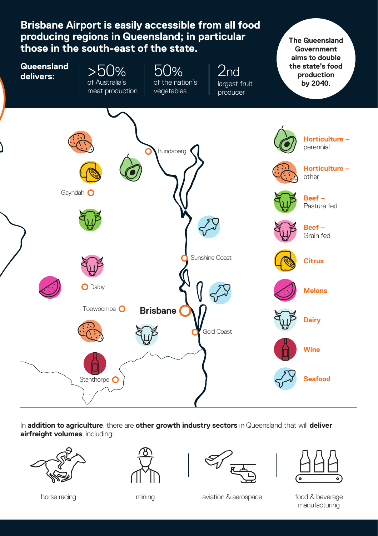

In **addition to agriculture**, there are **other growth industry sectors** in Queensland that will **deliver airfreight volumes**, including:







horse racing mining aviation & aerospace food & beverage horse racing

manufacturing